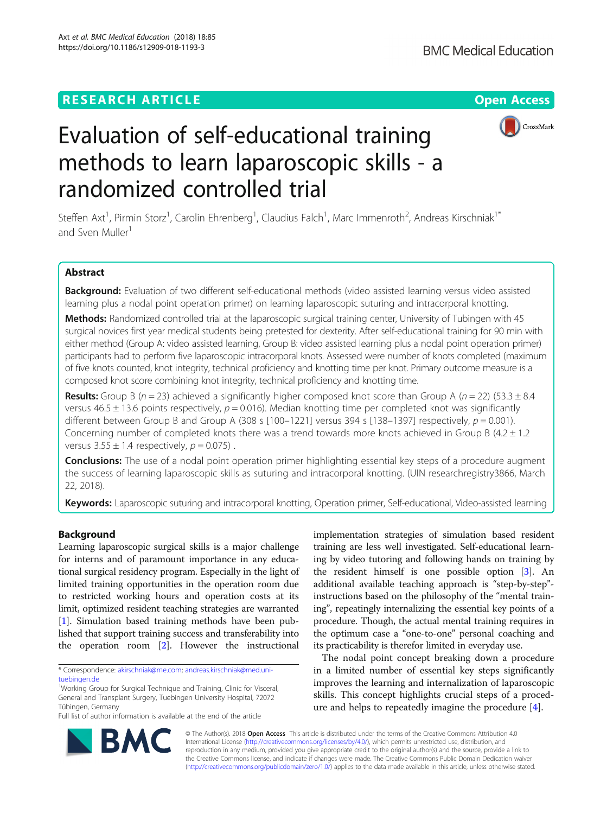# **RESEARCH ARTICLE Example 2018 12:30 THE Open Access**



# Evaluation of self-educational training methods to learn laparoscopic skills - a randomized controlled trial

Steffen Axt<sup>1</sup>, Pirmin Storz<sup>1</sup>, Carolin Ehrenberg<sup>1</sup>, Claudius Falch<sup>1</sup>, Marc Immenroth<sup>2</sup>, Andreas Kirschniak<sup>1\*</sup> and Sven Muller<sup>1</sup>

# Abstract

Background: Evaluation of two different self-educational methods (video assisted learning versus video assisted learning plus a nodal point operation primer) on learning laparoscopic suturing and intracorporal knotting.

Methods: Randomized controlled trial at the laparoscopic surgical training center, University of Tubingen with 45 surgical novices first year medical students being pretested for dexterity. After self-educational training for 90 min with either method (Group A: video assisted learning, Group B: video assisted learning plus a nodal point operation primer) participants had to perform five laparoscopic intracorporal knots. Assessed were number of knots completed (maximum of five knots counted, knot integrity, technical proficiency and knotting time per knot. Primary outcome measure is a composed knot score combining knot integrity, technical proficiency and knotting time.

**Results:** Group B ( $n = 23$ ) achieved a significantly higher composed knot score than Group A ( $n = 22$ ) (53.3  $\pm$  8.4 versus 46.5  $\pm$  13.6 points respectively,  $p = 0.016$ ). Median knotting time per completed knot was significantly different between Group B and Group A (308 s [100-1221] versus 394 s [138-1397] respectively,  $p = 0.001$ ). Concerning number of completed knots there was a trend towards more knots achieved in Group B  $(4.2 \pm 1.2$ versus  $3.55 \pm 1.4$  respectively,  $p = 0.075$ ).

**Conclusions:** The use of a nodal point operation primer highlighting essential key steps of a procedure augment the success of learning laparoscopic skills as suturing and intracorporal knotting. (UIN researchregistry3866, March 22, 2018).

Keywords: Laparoscopic suturing and intracorporal knotting, Operation primer, Self-educational, Video-assisted learning

# Background

Learning laparoscopic surgical skills is a major challenge for interns and of paramount importance in any educational surgical residency program. Especially in the light of limited training opportunities in the operation room due to restricted working hours and operation costs at its limit, optimized resident teaching strategies are warranted [[1\]](#page-5-0). Simulation based training methods have been published that support training success and transferability into the operation room [\[2\]](#page-5-0). However the instructional

\* Correspondence: [akirschniak@me.com;](mailto:akirschniak@me.com) [andreas.kirschniak@med.uni](mailto:andreas.kirschniak@med.uni-tuebingen.de)[tuebingen.de](mailto:andreas.kirschniak@med.uni-tuebingen.de)

Full list of author information is available at the end of the article

implementation strategies of simulation based resident training are less well investigated. Self-educational learning by video tutoring and following hands on training by the resident himself is one possible option [\[3](#page-5-0)]. An additional available teaching approach is "step-by-step" instructions based on the philosophy of the "mental training", repeatingly internalizing the essential key points of a procedure. Though, the actual mental training requires in the optimum case a "one-to-one" personal coaching and its practicability is therefor limited in everyday use.

The nodal point concept breaking down a procedure in a limited number of essential key steps significantly improves the learning and internalization of laparoscopic skills. This concept highlights crucial steps of a procedure and helps to repeatedly imagine the procedure [[4\]](#page-5-0).



© The Author(s). 2018 Open Access This article is distributed under the terms of the Creative Commons Attribution 4.0 International License [\(http://creativecommons.org/licenses/by/4.0/](http://creativecommons.org/licenses/by/4.0/)), which permits unrestricted use, distribution, and reproduction in any medium, provided you give appropriate credit to the original author(s) and the source, provide a link to the Creative Commons license, and indicate if changes were made. The Creative Commons Public Domain Dedication waiver [\(http://creativecommons.org/publicdomain/zero/1.0/](http://creativecommons.org/publicdomain/zero/1.0/)) applies to the data made available in this article, unless otherwise stated.

<sup>&</sup>lt;sup>1</sup>Working Group for Surgical Technique and Training, Clinic for Visceral, General and Transplant Surgery, Tuebingen University Hospital, 72072 Tübingen, Germany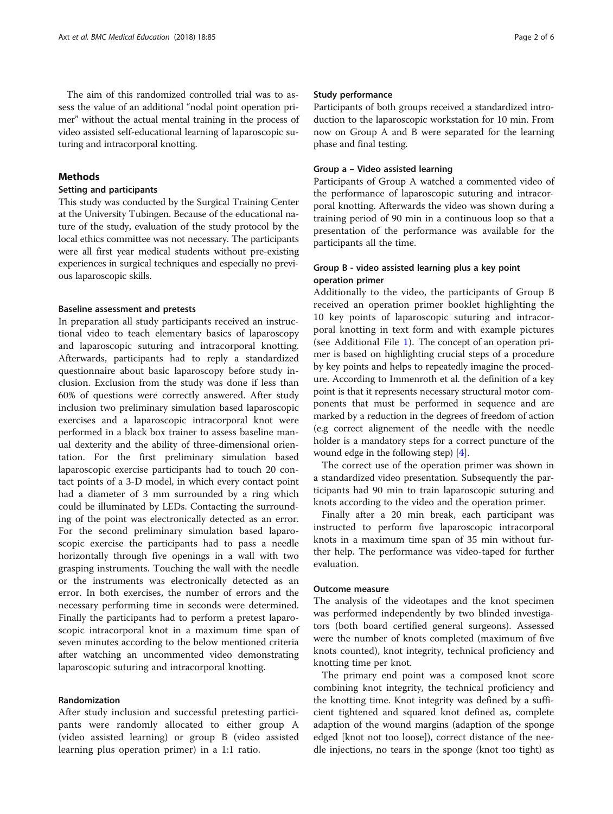The aim of this randomized controlled trial was to assess the value of an additional "nodal point operation primer" without the actual mental training in the process of video assisted self-educational learning of laparoscopic suturing and intracorporal knotting.

# **Methods**

# Setting and participants

This study was conducted by the Surgical Training Center at the University Tubingen. Because of the educational nature of the study, evaluation of the study protocol by the local ethics committee was not necessary. The participants were all first year medical students without pre-existing experiences in surgical techniques and especially no previous laparoscopic skills.

## Baseline assessment and pretests

In preparation all study participants received an instructional video to teach elementary basics of laparoscopy and laparoscopic suturing and intracorporal knotting. Afterwards, participants had to reply a standardized questionnaire about basic laparoscopy before study inclusion. Exclusion from the study was done if less than 60% of questions were correctly answered. After study inclusion two preliminary simulation based laparoscopic exercises and a laparoscopic intracorporal knot were performed in a black box trainer to assess baseline manual dexterity and the ability of three-dimensional orientation. For the first preliminary simulation based laparoscopic exercise participants had to touch 20 contact points of a 3-D model, in which every contact point had a diameter of 3 mm surrounded by a ring which could be illuminated by LEDs. Contacting the surrounding of the point was electronically detected as an error. For the second preliminary simulation based laparoscopic exercise the participants had to pass a needle horizontally through five openings in a wall with two grasping instruments. Touching the wall with the needle or the instruments was electronically detected as an error. In both exercises, the number of errors and the necessary performing time in seconds were determined. Finally the participants had to perform a pretest laparoscopic intracorporal knot in a maximum time span of seven minutes according to the below mentioned criteria after watching an uncommented video demonstrating laparoscopic suturing and intracorporal knotting.

# Randomization

After study inclusion and successful pretesting participants were randomly allocated to either group A (video assisted learning) or group B (video assisted learning plus operation primer) in a 1:1 ratio.

## Study performance

Participants of both groups received a standardized introduction to the laparoscopic workstation for 10 min. From now on Group A and B were separated for the learning phase and final testing.

# Group a – Video assisted learning

Participants of Group A watched a commented video of the performance of laparoscopic suturing and intracorporal knotting. Afterwards the video was shown during a training period of 90 min in a continuous loop so that a presentation of the performance was available for the participants all the time.

# Group B - video assisted learning plus a key point operation primer

Additionally to the video, the participants of Group B received an operation primer booklet highlighting the 10 key points of laparoscopic suturing and intracorporal knotting in text form and with example pictures (see Additional File [1](#page-4-0)). The concept of an operation primer is based on highlighting crucial steps of a procedure by key points and helps to repeatedly imagine the procedure. According to Immenroth et al. the definition of a key point is that it represents necessary structural motor components that must be performed in sequence and are marked by a reduction in the degrees of freedom of action (e.g correct alignement of the needle with the needle holder is a mandatory steps for a correct puncture of the wound edge in the following step) [\[4\]](#page-5-0).

The correct use of the operation primer was shown in a standardized video presentation. Subsequently the participants had 90 min to train laparoscopic suturing and knots according to the video and the operation primer.

Finally after a 20 min break, each participant was instructed to perform five laparoscopic intracorporal knots in a maximum time span of 35 min without further help. The performance was video-taped for further evaluation.

# Outcome measure

The analysis of the videotapes and the knot specimen was performed independently by two blinded investigators (both board certified general surgeons). Assessed were the number of knots completed (maximum of five knots counted), knot integrity, technical proficiency and knotting time per knot.

The primary end point was a composed knot score combining knot integrity, the technical proficiency and the knotting time. Knot integrity was defined by a sufficient tightened and squared knot defined as, complete adaption of the wound margins (adaption of the sponge edged [knot not too loose]), correct distance of the needle injections, no tears in the sponge (knot too tight) as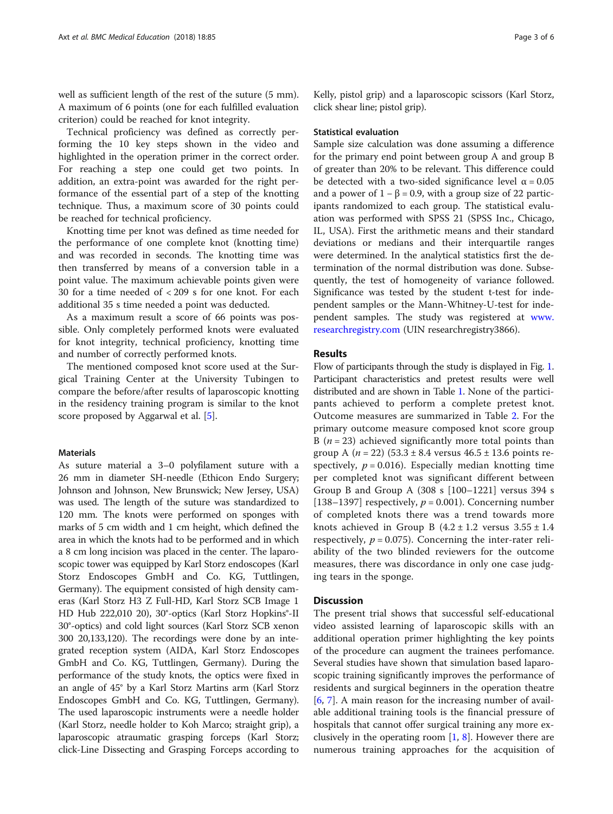well as sufficient length of the rest of the suture (5 mm). A maximum of 6 points (one for each fulfilled evaluation criterion) could be reached for knot integrity.

Technical proficiency was defined as correctly performing the 10 key steps shown in the video and highlighted in the operation primer in the correct order. For reaching a step one could get two points. In addition, an extra-point was awarded for the right performance of the essential part of a step of the knotting technique. Thus, a maximum score of 30 points could be reached for technical proficiency.

Knotting time per knot was defined as time needed for the performance of one complete knot (knotting time) and was recorded in seconds. The knotting time was then transferred by means of a conversion table in a point value. The maximum achievable points given were 30 for a time needed of < 209 s for one knot. For each additional 35 s time needed a point was deducted.

As a maximum result a score of 66 points was possible. Only completely performed knots were evaluated for knot integrity, technical proficiency, knotting time and number of correctly performed knots.

The mentioned composed knot score used at the Surgical Training Center at the University Tubingen to compare the before/after results of laparoscopic knotting in the residency training program is similar to the knot score proposed by Aggarwal et al. [\[5\]](#page-5-0).

#### Materials

As suture material a 3–0 polyfilament suture with a 26 mm in diameter SH-needle (Ethicon Endo Surgery; Johnson and Johnson, New Brunswick; New Jersey, USA) was used. The length of the suture was standardized to 120 mm. The knots were performed on sponges with marks of 5 cm width and 1 cm height, which defined the area in which the knots had to be performed and in which a 8 cm long incision was placed in the center. The laparoscopic tower was equipped by Karl Storz endoscopes (Karl Storz Endoscopes GmbH and Co. KG, Tuttlingen, Germany). The equipment consisted of high density cameras (Karl Storz H3 Z Full-HD, Karl Storz SCB Image 1 HD Hub 222,010 20), 30°-optics (Karl Storz Hopkins°-II 30°-optics) and cold light sources (Karl Storz SCB xenon 300 20,133,120). The recordings were done by an integrated reception system (AIDA, Karl Storz Endoscopes GmbH and Co. KG, Tuttlingen, Germany). During the performance of the study knots, the optics were fixed in an angle of 45° by a Karl Storz Martins arm (Karl Storz Endoscopes GmbH and Co. KG, Tuttlingen, Germany). The used laparoscopic instruments were a needle holder (Karl Storz, needle holder to Koh Marco; straight grip), a laparoscopic atraumatic grasping forceps (Karl Storz; click-Line Dissecting and Grasping Forceps according to

Kelly, pistol grip) and a laparoscopic scissors (Karl Storz, click shear line; pistol grip).

#### Statistical evaluation

Sample size calculation was done assuming a difference for the primary end point between group A and group B of greater than 20% to be relevant. This difference could be detected with a two-sided significance level  $\alpha = 0.05$ and a power of  $1 - \beta = 0.9$ , with a group size of 22 participants randomized to each group. The statistical evaluation was performed with SPSS 21 (SPSS Inc., Chicago, IL, USA). First the arithmetic means and their standard deviations or medians and their interquartile ranges were determined. In the analytical statistics first the determination of the normal distribution was done. Subsequently, the test of homogeneity of variance followed. Significance was tested by the student t-test for independent samples or the Mann-Whitney-U-test for independent samples. The study was registered at [www.](http://www.researchregistry.com) [researchregistry.com](http://www.researchregistry.com) (UIN researchregistry3866).

# Results

Flow of participants through the study is displayed in Fig. [1](#page-3-0). Participant characteristics and pretest results were well distributed and are shown in Table [1.](#page-3-0) None of the participants achieved to perform a complete pretest knot. Outcome measures are summarized in Table [2](#page-4-0). For the primary outcome measure composed knot score group B ( $n = 23$ ) achieved significantly more total points than group A  $(n = 22)$  (53.3 ± 8.4 versus 46.5 ± 13.6 points respectively,  $p = 0.016$ ). Especially median knotting time per completed knot was significant different between Group B and Group A (308 s [100–1221] versus 394 s [138–1397] respectively,  $p = 0.001$ ). Concerning number of completed knots there was a trend towards more knots achieved in Group B  $(4.2 \pm 1.2 \text{ versus } 3.55 \pm 1.4 \text{)}$ respectively,  $p = 0.075$ ). Concerning the inter-rater reliability of the two blinded reviewers for the outcome measures, there was discordance in only one case judging tears in the sponge.

# **Discussion**

The present trial shows that successful self-educational video assisted learning of laparoscopic skills with an additional operation primer highlighting the key points of the procedure can augment the trainees perfomance. Several studies have shown that simulation based laparoscopic training significantly improves the performance of residents and surgical beginners in the operation theatre [[6,](#page-5-0) [7\]](#page-5-0). A main reason for the increasing number of available additional training tools is the financial pressure of hospitals that cannot offer surgical training any more exclusively in the operating room  $[1, 8]$  $[1, 8]$  $[1, 8]$  $[1, 8]$ . However there are numerous training approaches for the acquisition of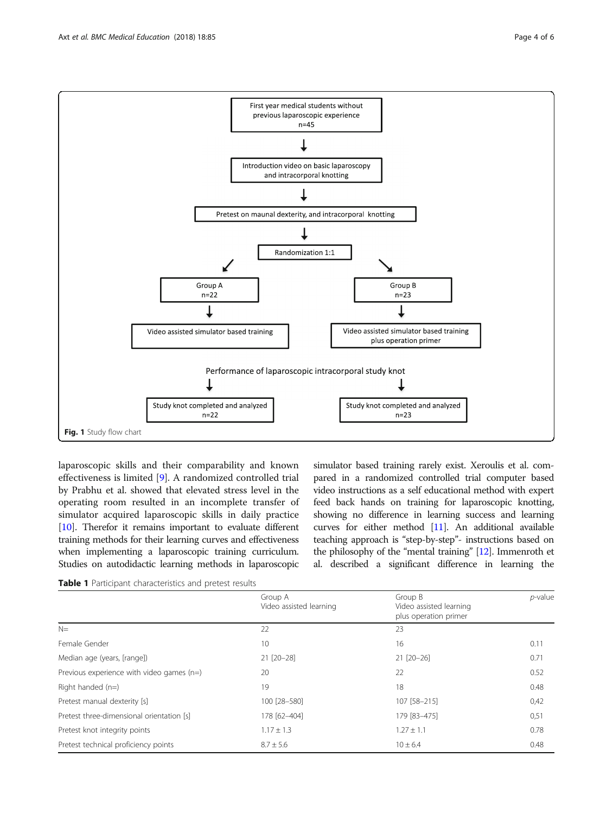<span id="page-3-0"></span>

laparoscopic skills and their comparability and known effectiveness is limited [[9\]](#page-5-0). A randomized controlled trial by Prabhu et al. showed that elevated stress level in the operating room resulted in an incomplete transfer of simulator acquired laparoscopic skills in daily practice [[10\]](#page-5-0). Therefor it remains important to evaluate different training methods for their learning curves and effectiveness when implementing a laparoscopic training curriculum. Studies on autodidactic learning methods in laparoscopic

simulator based training rarely exist. Xeroulis et al. compared in a randomized controlled trial computer based video instructions as a self educational method with expert feed back hands on training for laparoscopic knotting, showing no difference in learning success and learning curves for either method [[11](#page-5-0)]. An additional available teaching approach is "step-by-step"- instructions based on the philosophy of the "mental training" [[12\]](#page-5-0). Immenroth et al. described a significant difference in learning the

| <b>Table 1</b> Participant characteristics and pretest results |  |  |  |  |
|----------------------------------------------------------------|--|--|--|--|
|----------------------------------------------------------------|--|--|--|--|

|                                             | Group A<br>Video assisted learning | Group B<br>Video assisted learning<br>plus operation primer | $p$ -value |
|---------------------------------------------|------------------------------------|-------------------------------------------------------------|------------|
| $N=$                                        | 22                                 | 23                                                          |            |
| Female Gender                               | 10                                 | 16                                                          | 0.11       |
| Median age (years, [range])                 | 21 [20-28]                         | 21 [20-26]                                                  | 0.71       |
| Previous experience with video games $(n=)$ | 20                                 | 22                                                          | 0.52       |
| Right handed $(n=)$                         | 19                                 | 18                                                          | 0.48       |
| Pretest manual dexterity [s]                | 100 [28-580]                       | 107 [58-215]                                                | 0,42       |
| Pretest three-dimensional orientation [s]   | 178 [62-404]                       | 179 [83-475]                                                | 0,51       |
| Pretest knot integrity points               | $1.17 \pm 1.3$                     | $1.27 \pm 1.1$                                              | 0.78       |
| Pretest technical proficiency points        | $8.7 \pm 5.6$                      | $10 \pm 6.4$                                                | 0.48       |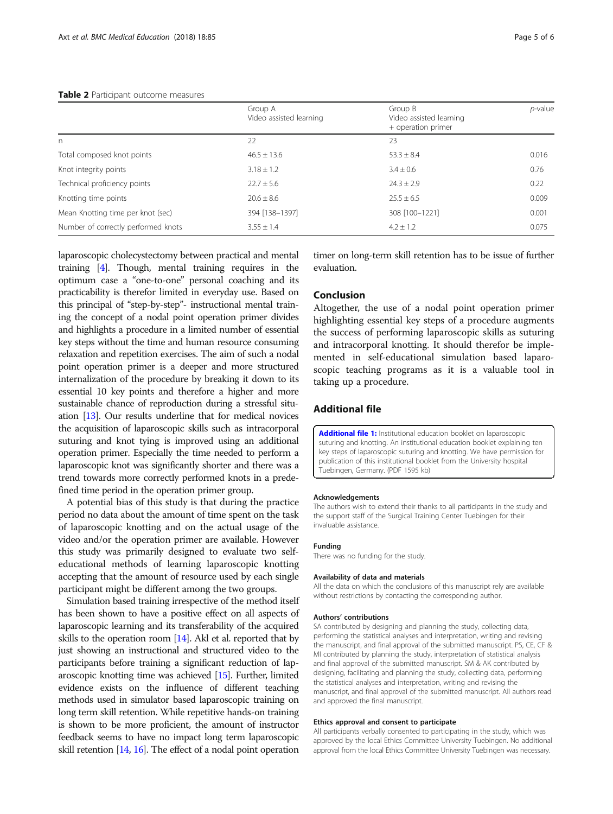#### <span id="page-4-0"></span>Table 2 Participant outcome measures

|                                     | Group A<br>Video assisted learning | Group B<br>Video assisted learning<br>+ operation primer | $p$ -value |
|-------------------------------------|------------------------------------|----------------------------------------------------------|------------|
| n                                   | 22                                 | 23                                                       |            |
| Total composed knot points          | $46.5 \pm 13.6$                    | $53.3 \pm 8.4$                                           | 0.016      |
| Knot integrity points               | $3.18 \pm 1.2$                     | $3.4 \pm 0.6$                                            | 0.76       |
| Technical proficiency points        | $22.7 \pm 5.6$                     | $24.3 \pm 2.9$                                           | 0.22       |
| Knotting time points                | $20.6 + 8.6$                       | $25.5 \pm 6.5$                                           | 0.009      |
| Mean Knotting time per knot (sec)   | 394 [138-1397]                     | 308 [100-1221]                                           | 0.001      |
| Number of correctly performed knots | $3.55 \pm 1.4$                     | $4.2 \pm 1.2$                                            | 0.075      |

laparoscopic cholecystectomy between practical and mental training [\[4\]](#page-5-0). Though, mental training requires in the optimum case a "one-to-one" personal coaching and its practicability is therefor limited in everyday use. Based on this principal of "step-by-step"- instructional mental training the concept of a nodal point operation primer divides and highlights a procedure in a limited number of essential key steps without the time and human resource consuming relaxation and repetition exercises. The aim of such a nodal point operation primer is a deeper and more structured internalization of the procedure by breaking it down to its essential 10 key points and therefore a higher and more sustainable chance of reproduction during a stressful situation [\[13\]](#page-5-0). Our results underline that for medical novices the acquisition of laparoscopic skills such as intracorporal suturing and knot tying is improved using an additional operation primer. Especially the time needed to perform a laparoscopic knot was significantly shorter and there was a trend towards more correctly performed knots in a predefined time period in the operation primer group.

A potential bias of this study is that during the practice period no data about the amount of time spent on the task of laparoscopic knotting and on the actual usage of the video and/or the operation primer are available. However this study was primarily designed to evaluate two selfeducational methods of learning laparoscopic knotting accepting that the amount of resource used by each single participant might be different among the two groups.

Simulation based training irrespective of the method itself has been shown to have a positive effect on all aspects of laparoscopic learning and its transferability of the acquired skills to the operation room  $[14]$  $[14]$  $[14]$ . Akl et al. reported that by just showing an instructional and structured video to the participants before training a significant reduction of laparoscopic knotting time was achieved [[15](#page-5-0)]. Further, limited evidence exists on the influence of different teaching methods used in simulator based laparoscopic training on long term skill retention. While repetitive hands-on training is shown to be more proficient, the amount of instructor feedback seems to have no impact long term laparoscopic skill retention [[14](#page-5-0), [16](#page-5-0)]. The effect of a nodal point operation

timer on long-term skill retention has to be issue of further evaluation.

# Conclusion

Altogether, the use of a nodal point operation primer highlighting essential key steps of a procedure augments the success of performing laparoscopic skills as suturing and intracorporal knotting. It should therefor be implemented in self-educational simulation based laparoscopic teaching programs as it is a valuable tool in taking up a procedure.

# Additional file

[Additional file 1:](https://doi.org/10.1186/s12909-018-1193-3) Institutional education booklet on laparoscopic suturing and knotting. An institutional education booklet explaining ten key steps of laparoscopic suturing and knotting. We have permission for publication of this institutional booklet from the University hospital Tuebingen, Germany. (PDF 1595 kb)

#### **Acknowledgements**

The authors wish to extend their thanks to all participants in the study and the support staff of the Surgical Training Center Tuebingen for their invaluable assistance.

#### Funding

There was no funding for the study.

#### Availability of data and materials

All the data on which the conclusions of this manuscript rely are available without restrictions by contacting the corresponding author.

#### Authors' contributions

SA contributed by designing and planning the study, collecting data, performing the statistical analyses and interpretation, writing and revising the manuscript, and final approval of the submitted manuscript. PS, CE, CF & MI contributed by planning the study, interpretation of statistical analysis and final approval of the submitted manuscript. SM & AK contributed by designing, facilitating and planning the study, collecting data, performing the statistical analyses and interpretation, writing and revising the manuscript, and final approval of the submitted manuscript. All authors read and approved the final manuscript.

#### Ethics approval and consent to participate

All participants verbally consented to participating in the study, which was approved by the local Ethics Committee University Tuebingen. No additional approval from the local Ethics Committee University Tuebingen was necessary.